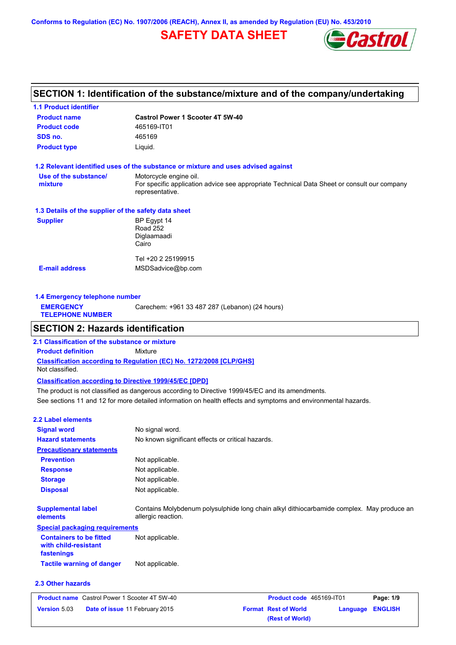**Conforms to Regulation (EC) No. 1907/2006 (REACH), Annex II, as amended by Regulation (EU) No. 453/2010**

## **SAFETY DATA SHEET**



## **SECTION 1: Identification of the substance/mixture and of the company/undertaking**

| <b>1.1 Product identifier</b>                        |                                                                                                                                          |
|------------------------------------------------------|------------------------------------------------------------------------------------------------------------------------------------------|
| <b>Product name</b>                                  | <b>Castrol Power 1 Scooter 4T 5W-40</b>                                                                                                  |
| <b>Product code</b>                                  | 465169-IT01                                                                                                                              |
| SDS no.                                              | 465169                                                                                                                                   |
| <b>Product type</b>                                  | Liquid.                                                                                                                                  |
|                                                      | 1.2 Relevant identified uses of the substance or mixture and uses advised against                                                        |
| Use of the substance/<br>mixture                     | Motorcycle engine oil.<br>For specific application advice see appropriate Technical Data Sheet or consult our company<br>representative. |
| 1.3 Details of the supplier of the safety data sheet |                                                                                                                                          |
| <b>Supplier</b>                                      | BP Egypt 14<br><b>Road 252</b><br>Diglaamaadi<br>Cairo                                                                                   |
|                                                      | Tel +20 2 25199915                                                                                                                       |
| <b>E-mail address</b>                                | MSDSadvice@bp.com                                                                                                                        |
| 1.4 Emergency telephone number                       |                                                                                                                                          |
| <b>EMERGENCY</b><br><b>TELEPHONE NUMBER</b>          | Carechem: +961 33 487 287 (Lebanon) (24 hours)                                                                                           |
| <b>SECTION 2: Hazards identification</b>             |                                                                                                                                          |
| 2.1 Classification of the substance or mixture       |                                                                                                                                          |

**Classification according to Regulation (EC) No. 1272/2008 [CLP/GHS] Product definition** Mixture Not classified.

**Classification according to Directive 1999/45/EC [DPD]**

See sections 11 and 12 for more detailed information on health effects and symptoms and environmental hazards. The product is not classified as dangerous according to Directive 1999/45/EC and its amendments.

| <b>2.2 Label elements</b>                                            |                                                                                                                 |
|----------------------------------------------------------------------|-----------------------------------------------------------------------------------------------------------------|
| <b>Signal word</b>                                                   | No signal word.                                                                                                 |
| <b>Hazard statements</b>                                             | No known significant effects or critical hazards.                                                               |
| <b>Precautionary statements</b>                                      |                                                                                                                 |
| <b>Prevention</b>                                                    | Not applicable.                                                                                                 |
| <b>Response</b>                                                      | Not applicable.                                                                                                 |
| <b>Storage</b>                                                       | Not applicable.                                                                                                 |
| <b>Disposal</b>                                                      | Not applicable.                                                                                                 |
| <b>Supplemental label</b><br>elements                                | Contains Molybdenum polysulphide long chain alkyl dithiocarbamide complex. May produce an<br>allergic reaction. |
| <b>Special packaging requirements</b>                                |                                                                                                                 |
| <b>Containers to be fitted</b><br>with child-resistant<br>fastenings | Not applicable.                                                                                                 |
| <b>Tactile warning of danger</b>                                     | Not applicable.                                                                                                 |
| 2.3 Other hazards                                                    |                                                                                                                 |

#### **Product name** Castrol Power 1 Scooter 4T 5W-40 **Product code** 465169-IT01 **Page: 1/9 Version** 5.03 **Date of issue** 11 February 2015 **Format Rest of World Language ENGLISH (Rest of World)**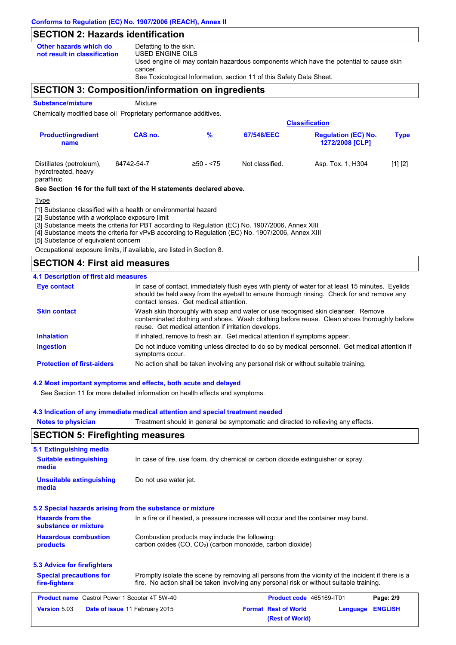## **SECTION 2: Hazards identification**

| Other hazards which do       | Defatting to the skin.                                                                  |
|------------------------------|-----------------------------------------------------------------------------------------|
| not result in classification | USED ENGINE OILS                                                                        |
|                              | Used engine oil may contain hazardous components which have the potential to cause skin |
|                              | cancer.                                                                                 |
|                              | See Toxicological Information, section 11 of this Safety Data Sheet.                    |

## **SECTION 3: Composition/information on ingredients**

**Substance/mixture Mixture** 

Chemically modified base oil Proprietary performance additives.

|                                                               | <b>Classification</b> |               |                 |                                               |             |  |
|---------------------------------------------------------------|-----------------------|---------------|-----------------|-----------------------------------------------|-------------|--|
| <b>Product/ingredient</b><br>name                             | CAS no.               | $\frac{9}{6}$ | 67/548/EEC      | <b>Regulation (EC) No.</b><br>1272/2008 [CLP] | <b>Type</b> |  |
| Distillates (petroleum),<br>hydrotreated, heavy<br>paraffinic | 64742-54-7            | $≥50 - < 75$  | Not classified. | Asp. Tox. 1, H304                             | [1] [2]     |  |

**See Section 16 for the full text of the H statements declared above.**

#### Type

[1] Substance classified with a health or environmental hazard

[2] Substance with a workplace exposure limit

[3] Substance meets the criteria for PBT according to Regulation (EC) No. 1907/2006, Annex XIII

[4] Substance meets the criteria for vPvB according to Regulation (EC) No. 1907/2006, Annex XIII

[5] Substance of equivalent concern

Occupational exposure limits, if available, are listed in Section 8.

### **SECTION 4: First aid measures**

#### **4.1 Description of first aid measures**

| Eye contact                       | In case of contact, immediately flush eyes with plenty of water for at least 15 minutes. Eyelids<br>should be held away from the eyeball to ensure thorough rinsing. Check for and remove any<br>contact lenses. Get medical attention. |
|-----------------------------------|-----------------------------------------------------------------------------------------------------------------------------------------------------------------------------------------------------------------------------------------|
| <b>Skin contact</b>               | Wash skin thoroughly with soap and water or use recognised skin cleanser. Remove<br>contaminated clothing and shoes. Wash clothing before reuse. Clean shoes thoroughly before<br>reuse. Get medical attention if irritation develops.  |
| <b>Inhalation</b>                 | If inhaled, remove to fresh air. Get medical attention if symptoms appear.                                                                                                                                                              |
| <b>Ingestion</b>                  | Do not induce vomiting unless directed to do so by medical personnel. Get medical attention if<br>symptoms occur.                                                                                                                       |
| <b>Protection of first-aiders</b> | No action shall be taken involving any personal risk or without suitable training.                                                                                                                                                      |

#### **4.2 Most important symptoms and effects, both acute and delayed**

See Section 11 for more detailed information on health effects and symptoms.

#### **4.3 Indication of any immediate medical attention and special treatment needed**

| <b>Notes to physician</b>                                 | Treatment should in general be symptomatic and directed to relieving any effects.                                                                                                              |
|-----------------------------------------------------------|------------------------------------------------------------------------------------------------------------------------------------------------------------------------------------------------|
| <b>SECTION 5: Firefighting measures</b>                   |                                                                                                                                                                                                |
| 5.1 Extinguishing media                                   |                                                                                                                                                                                                |
| <b>Suitable extinguishing</b><br>media                    | In case of fire, use foam, dry chemical or carbon dioxide extinguisher or spray.                                                                                                               |
| <b>Unsuitable extinguishing</b><br>media                  | Do not use water jet.                                                                                                                                                                          |
| 5.2 Special hazards arising from the substance or mixture |                                                                                                                                                                                                |
| <b>Hazards from the</b><br>substance or mixture           | In a fire or if heated, a pressure increase will occur and the container may burst.                                                                                                            |
| <b>Hazardous combustion</b><br>products                   | Combustion products may include the following:<br>carbon oxides (CO, CO <sub>2</sub> ) (carbon monoxide, carbon dioxide)                                                                       |
| 5.3 Advice for firefighters                               |                                                                                                                                                                                                |
| <b>Special precautions for</b><br>fire-fighters           | Promptly isolate the scene by removing all persons from the vicinity of the incident if there is a<br>fire. No action shall be taken involving any personal risk or without suitable training. |
| <b>Product name</b> Castrol Power 1 Scooter 4T 5W-40      | Product code 465169-IT01<br>Page: 2/9                                                                                                                                                          |
| <b>Version 5.03</b>                                       | <b>ENGLISH</b><br>Date of issue 11 February 2015<br><b>Format Rest of World</b><br>Language<br>(Rest of World)                                                                                 |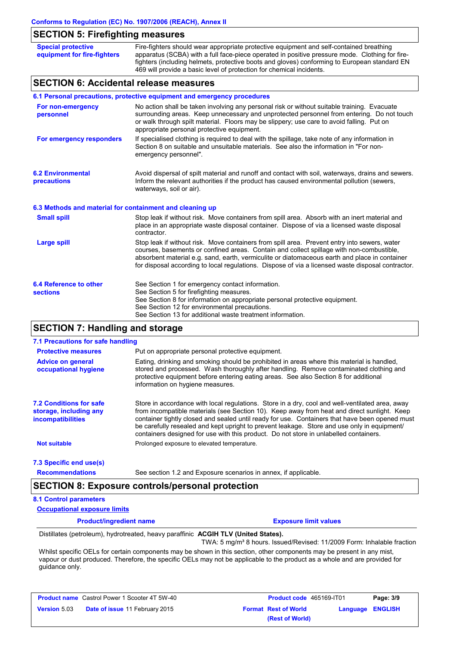## **SECTION 5: Firefighting measures**

| <b>Special protective</b><br>equipment for fire-fighters                | Fire-fighters should wear appropriate protective equipment and self-contained breathing<br>apparatus (SCBA) with a full face-piece operated in positive pressure mode. Clothing for fire-<br>fighters (including helmets, protective boots and gloves) conforming to European standard EN<br>469 will provide a basic level of protection for chemical incidents. |  |
|-------------------------------------------------------------------------|-------------------------------------------------------------------------------------------------------------------------------------------------------------------------------------------------------------------------------------------------------------------------------------------------------------------------------------------------------------------|--|
| <b>SECTION 6: Accidental release measures</b>                           |                                                                                                                                                                                                                                                                                                                                                                   |  |
| 6.1 Personal precautions, protective equipment and emergency procedures |                                                                                                                                                                                                                                                                                                                                                                   |  |
| For non-emergency                                                       | No action shall be taken involving any personal risk or without suitable training. Evacuate                                                                                                                                                                                                                                                                       |  |

| For non-emergency<br>personnel                   | No action shall be taken involving any personal risk or without suitable training. Evacuate<br>surrounding areas. Keep unnecessary and unprotected personnel from entering. Do not touch<br>or walk through spilt material. Floors may be slippery; use care to avoid falling. Put on<br>appropriate personal protective equipment.                                                            |
|--------------------------------------------------|------------------------------------------------------------------------------------------------------------------------------------------------------------------------------------------------------------------------------------------------------------------------------------------------------------------------------------------------------------------------------------------------|
| For emergency responders                         | If specialised clothing is required to deal with the spillage, take note of any information in<br>Section 8 on suitable and unsuitable materials. See also the information in "For non-<br>emergency personnel".                                                                                                                                                                               |
| <b>6.2 Environmental</b><br>precautions          | Avoid dispersal of spilt material and runoff and contact with soil, waterways, drains and sewers.<br>Inform the relevant authorities if the product has caused environmental pollution (sewers,<br>waterways, soil or air).                                                                                                                                                                    |
|                                                  | 6.3 Methods and material for containment and cleaning up                                                                                                                                                                                                                                                                                                                                       |
| <b>Small spill</b>                               | Stop leak if without risk. Move containers from spill area. Absorb with an inert material and<br>place in an appropriate waste disposal container. Dispose of via a licensed waste disposal<br>contractor.                                                                                                                                                                                     |
| Large spill                                      | Stop leak if without risk. Move containers from spill area. Prevent entry into sewers, water<br>courses, basements or confined areas. Contain and collect spillage with non-combustible,<br>absorbent material e.g. sand, earth, vermiculite or diatomaceous earth and place in container<br>for disposal according to local regulations. Dispose of via a licensed waste disposal contractor. |
| <b>6.4 Reference to other</b><br><b>sections</b> | See Section 1 for emergency contact information.<br>See Section 5 for firefighting measures.<br>See Section 8 for information on appropriate personal protective equipment.<br>See Section 12 for environmental precautions.<br>See Section 13 for additional waste treatment information.                                                                                                     |

## **SECTION 7: Handling and storage**

| 7.1 Precautions for safe handling                                                    |                                                                                                                                                                                                                                                                                                                                                                                                                                                                                          |
|--------------------------------------------------------------------------------------|------------------------------------------------------------------------------------------------------------------------------------------------------------------------------------------------------------------------------------------------------------------------------------------------------------------------------------------------------------------------------------------------------------------------------------------------------------------------------------------|
| <b>Protective measures</b>                                                           | Put on appropriate personal protective equipment.                                                                                                                                                                                                                                                                                                                                                                                                                                        |
| <b>Advice on general</b><br>occupational hygiene                                     | Eating, drinking and smoking should be prohibited in areas where this material is handled.<br>stored and processed. Wash thoroughly after handling. Remove contaminated clothing and<br>protective equipment before entering eating areas. See also Section 8 for additional<br>information on hygiene measures.                                                                                                                                                                         |
| <b>7.2 Conditions for safe</b><br>storage, including any<br><b>incompatibilities</b> | Store in accordance with local regulations. Store in a dry, cool and well-ventilated area, away<br>from incompatible materials (see Section 10). Keep away from heat and direct sunlight. Keep<br>container tightly closed and sealed until ready for use. Containers that have been opened must<br>be carefully resealed and kept upright to prevent leakage. Store and use only in equipment/<br>containers designed for use with this product. Do not store in unlabelled containers. |
| <b>Not suitable</b>                                                                  | Prolonged exposure to elevated temperature.                                                                                                                                                                                                                                                                                                                                                                                                                                              |
| 7.3 Specific end use(s)                                                              |                                                                                                                                                                                                                                                                                                                                                                                                                                                                                          |
| <b>Recommendations</b>                                                               | See section 1.2 and Exposure scenarios in annex, if applicable.                                                                                                                                                                                                                                                                                                                                                                                                                          |

#### **8.1 Control parameters**

**Occupational exposure limits**

**Product/ingredient name Exposure limit values**

Distillates (petroleum), hydrotreated, heavy paraffinic **ACGIH TLV (United States).** TWA: 5 mg/m<sup>3</sup> 8 hours. Issued/Revised: 11/2009 Form: Inhalable fraction

Whilst specific OELs for certain components may be shown in this section, other components may be present in any mist, vapour or dust produced. Therefore, the specific OELs may not be applicable to the product as a whole and are provided for guidance only.

|                     | <b>Product name</b> Castrol Power 1 Scooter 4T 5W-40 |
|---------------------|------------------------------------------------------|
| <b>Version 5.03</b> | Date of issue 11 February 2015                       |

| Castrol Power 1 Scooter 4T 5W-40      | <b>Product code</b> 465169-IT01 |                         | Page: 3/9 |
|---------------------------------------|---------------------------------|-------------------------|-----------|
| <b>Date of issue 11 February 2015</b> | <b>Format Rest of World</b>     | <b>Language ENGLISH</b> |           |
|                                       | (Rest of World)                 |                         |           |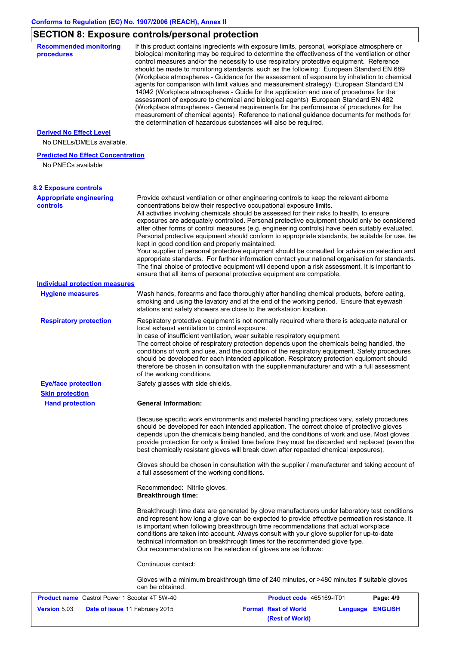# **SECTION 8: Exposure controls/personal protection**

| <b>Version 5.03</b>                                                        | <b>Format Rest of World</b><br>Date of issue 11 February 2015<br><b>ENGLISH</b><br>Language                                                                                                                                                                                                                                                                                                                                                                                                                                                                                                                                                                                                                                             |
|----------------------------------------------------------------------------|-----------------------------------------------------------------------------------------------------------------------------------------------------------------------------------------------------------------------------------------------------------------------------------------------------------------------------------------------------------------------------------------------------------------------------------------------------------------------------------------------------------------------------------------------------------------------------------------------------------------------------------------------------------------------------------------------------------------------------------------|
| <b>Product name</b> Castrol Power 1 Scooter 4T 5W-40                       | can be obtained.<br>Product code 465169-IT01<br>Page: 4/9                                                                                                                                                                                                                                                                                                                                                                                                                                                                                                                                                                                                                                                                               |
|                                                                            | Continuous contact:<br>Gloves with a minimum breakthrough time of 240 minutes, or >480 minutes if suitable gloves                                                                                                                                                                                                                                                                                                                                                                                                                                                                                                                                                                                                                       |
|                                                                            | and represent how long a glove can be expected to provide effective permeation resistance. It<br>is important when following breakthrough time recommendations that actual workplace<br>conditions are taken into account. Always consult with your glove supplier for up-to-date<br>technical information on breakthrough times for the recommended glove type.<br>Our recommendations on the selection of gloves are as follows:                                                                                                                                                                                                                                                                                                      |
|                                                                            | Recommended: Nitrile gloves.<br><b>Breakthrough time:</b><br>Breakthrough time data are generated by glove manufacturers under laboratory test conditions                                                                                                                                                                                                                                                                                                                                                                                                                                                                                                                                                                               |
|                                                                            | Gloves should be chosen in consultation with the supplier / manufacturer and taking account of<br>a full assessment of the working conditions.                                                                                                                                                                                                                                                                                                                                                                                                                                                                                                                                                                                          |
|                                                                            | Because specific work environments and material handling practices vary, safety procedures<br>should be developed for each intended application. The correct choice of protective gloves<br>depends upon the chemicals being handled, and the conditions of work and use. Most gloves<br>provide protection for only a limited time before they must be discarded and replaced (even the<br>best chemically resistant gloves will break down after repeated chemical exposures).                                                                                                                                                                                                                                                        |
| <b>Skin protection</b><br><b>Hand protection</b>                           | <b>General Information:</b>                                                                                                                                                                                                                                                                                                                                                                                                                                                                                                                                                                                                                                                                                                             |
| <b>Eye/face protection</b>                                                 | Safety glasses with side shields.                                                                                                                                                                                                                                                                                                                                                                                                                                                                                                                                                                                                                                                                                                       |
|                                                                            | local exhaust ventilation to control exposure.<br>In case of insufficient ventilation, wear suitable respiratory equipment.<br>The correct choice of respiratory protection depends upon the chemicals being handled, the<br>conditions of work and use, and the condition of the respiratory equipment. Safety procedures<br>should be developed for each intended application. Respiratory protection equipment should<br>therefore be chosen in consultation with the supplier/manufacturer and with a full assessment<br>of the working conditions.                                                                                                                                                                                 |
| <b>Respiratory protection</b>                                              | stations and safety showers are close to the workstation location.<br>Respiratory protective equipment is not normally required where there is adequate natural or                                                                                                                                                                                                                                                                                                                                                                                                                                                                                                                                                                      |
| <b>Hygiene measures</b>                                                    | Wash hands, forearms and face thoroughly after handling chemical products, before eating,<br>smoking and using the lavatory and at the end of the working period. Ensure that eyewash                                                                                                                                                                                                                                                                                                                                                                                                                                                                                                                                                   |
| <b>Individual protection measures</b>                                      |                                                                                                                                                                                                                                                                                                                                                                                                                                                                                                                                                                                                                                                                                                                                         |
|                                                                            | exposures are adequately controlled. Personal protective equipment should only be considered<br>after other forms of control measures (e.g. engineering controls) have been suitably evaluated.<br>Personal protective equipment should conform to appropriate standards, be suitable for use, be<br>kept in good condition and properly maintained.<br>Your supplier of personal protective equipment should be consulted for advice on selection and<br>appropriate standards. For further information contact your national organisation for standards.<br>The final choice of protective equipment will depend upon a risk assessment. It is important to<br>ensure that all items of personal protective equipment are compatible. |
| <b>8.2 Exposure controls</b><br><b>Appropriate engineering</b><br>controls | Provide exhaust ventilation or other engineering controls to keep the relevant airborne<br>concentrations below their respective occupational exposure limits.<br>All activities involving chemicals should be assessed for their risks to health, to ensure                                                                                                                                                                                                                                                                                                                                                                                                                                                                            |
| No PNECs available                                                         |                                                                                                                                                                                                                                                                                                                                                                                                                                                                                                                                                                                                                                                                                                                                         |
| <b>Predicted No Effect Concentration</b>                                   |                                                                                                                                                                                                                                                                                                                                                                                                                                                                                                                                                                                                                                                                                                                                         |
| No DNELs/DMELs available.                                                  |                                                                                                                                                                                                                                                                                                                                                                                                                                                                                                                                                                                                                                                                                                                                         |
| <b>Derived No Effect Level</b>                                             | measurement of chemical agents) Reference to national guidance documents for methods for<br>the determination of hazardous substances will also be required.                                                                                                                                                                                                                                                                                                                                                                                                                                                                                                                                                                            |
|                                                                            | control measures and/or the necessity to use respiratory protective equipment. Reference<br>should be made to monitoring standards, such as the following: European Standard EN 689<br>(Workplace atmospheres - Guidance for the assessment of exposure by inhalation to chemical<br>agents for comparison with limit values and measurement strategy) European Standard EN<br>14042 (Workplace atmospheres - Guide for the application and use of procedures for the<br>assessment of exposure to chemical and biological agents) European Standard EN 482<br>(Workplace atmospheres - General requirements for the performance of procedures for the                                                                                  |
| procedures                                                                 | If this product contains ingredients with exposure limits, personal, workplace atmosphere or<br>biological monitoring may be required to determine the effectiveness of the ventilation or other                                                                                                                                                                                                                                                                                                                                                                                                                                                                                                                                        |

**(Rest of World)**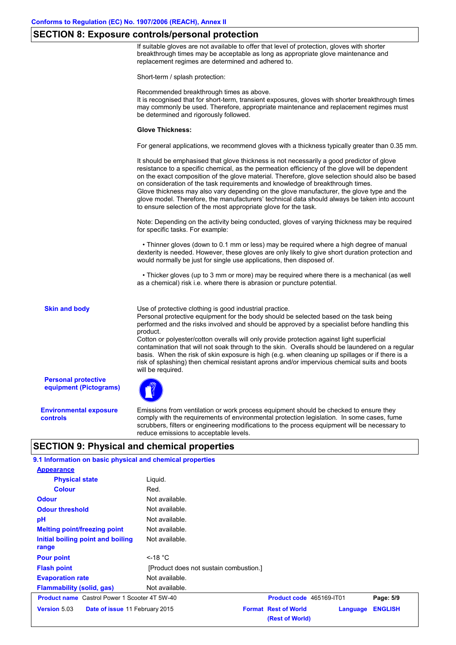#### **SECTION 8: Exposure controls/personal protection**

If suitable gloves are not available to offer that level of protection, gloves with shorter breakthrough times may be acceptable as long as appropriate glove maintenance and replacement regimes are determined and adhered to.

Short-term / splash protection:

Recommended breakthrough times as above.

It is recognised that for short-term, transient exposures, gloves with shorter breakthrough times may commonly be used. Therefore, appropriate maintenance and replacement regimes must be determined and rigorously followed.

#### **Glove Thickness:**

For general applications, we recommend gloves with a thickness typically greater than 0.35 mm.

It should be emphasised that glove thickness is not necessarily a good predictor of glove resistance to a specific chemical, as the permeation efficiency of the glove will be dependent on the exact composition of the glove material. Therefore, glove selection should also be based on consideration of the task requirements and knowledge of breakthrough times. Glove thickness may also vary depending on the glove manufacturer, the glove type and the glove model. Therefore, the manufacturers' technical data should always be taken into account to ensure selection of the most appropriate glove for the task.

Note: Depending on the activity being conducted, gloves of varying thickness may be required for specific tasks. For example:

 • Thinner gloves (down to 0.1 mm or less) may be required where a high degree of manual dexterity is needed. However, these gloves are only likely to give short duration protection and would normally be just for single use applications, then disposed of.

 • Thicker gloves (up to 3 mm or more) may be required where there is a mechanical (as well as a chemical) risk i.e. where there is abrasion or puncture potential.

**Skin and body**

Use of protective clothing is good industrial practice.

Personal protective equipment for the body should be selected based on the task being performed and the risks involved and should be approved by a specialist before handling this product.

Cotton or polyester/cotton overalls will only provide protection against light superficial contamination that will not soak through to the skin. Overalls should be laundered on a regular basis. When the risk of skin exposure is high (e.g. when cleaning up spillages or if there is a risk of splashing) then chemical resistant aprons and/or impervious chemical suits and boots will be required.

**Personal protective equipment (Pictograms)**

**Environmental exposure controls**

Emissions from ventilation or work process equipment should be checked to ensure they comply with the requirements of environmental protection legislation. In some cases, fume scrubbers, filters or engineering modifications to the process equipment will be necessary to reduce emissions to acceptable levels.

### **SECTION 9: Physical and chemical properties**

Not available. **Physical state Melting point/freezing point Initial boiling point and boiling range** Liquid. Not available. **Odour** Not available. **pH Colour** Red. **Evaporation rate** Not available. **Flash point** [Product does not sustain combustion.] Not available. **Odour threshold** Not available. **9.1 Information on basic physical and chemical properties Appearance Flammability (solid, gas)** Not available **Pour point** <-18 °C **Product name** Castrol Power 1 Scooter 4T 5W-40 **Product code** 465169-IT01 **Page: 5/9 Version** 5.03 **Date of issue** 11 February 2015 **Format Rest of World Language ENGLISH (Rest of World)**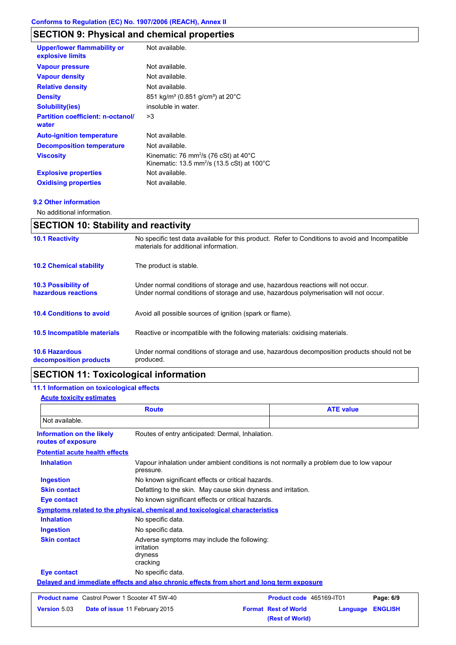# **SECTION 9: Physical and chemical properties**

| <b>Upper/lower flammability or</b><br>explosive limits | Not available.                                                                                                        |
|--------------------------------------------------------|-----------------------------------------------------------------------------------------------------------------------|
| <b>Vapour pressure</b>                                 | Not available.                                                                                                        |
| <b>Vapour density</b>                                  | Not available.                                                                                                        |
| <b>Relative density</b>                                | Not available.                                                                                                        |
| <b>Density</b>                                         | 851 kg/m <sup>3</sup> (0.851 g/cm <sup>3</sup> ) at 20 <sup>°</sup> C                                                 |
| <b>Solubility(ies)</b>                                 | insoluble in water.                                                                                                   |
| <b>Partition coefficient: n-octanol/</b><br>water      | >3                                                                                                                    |
| <b>Auto-ignition temperature</b>                       | Not available.                                                                                                        |
| <b>Decomposition temperature</b>                       | Not available.                                                                                                        |
| <b>Viscosity</b>                                       | Kinematic: 76 mm <sup>2</sup> /s (76 cSt) at 40°C<br>Kinematic: 13.5 mm <sup>2</sup> /s (13.5 cSt) at $100^{\circ}$ C |
| <b>Explosive properties</b>                            | Not available.                                                                                                        |
| <b>Oxidising properties</b>                            | Not available.                                                                                                        |
|                                                        |                                                                                                                       |

#### **9.2 Other information**

No additional information.

| <b>SECTION 10: Stability and reactivity</b>       |                                                                                                                                                                         |  |
|---------------------------------------------------|-------------------------------------------------------------------------------------------------------------------------------------------------------------------------|--|
| <b>10.1 Reactivity</b>                            | No specific test data available for this product. Refer to Conditions to avoid and Incompatible<br>materials for additional information.                                |  |
| <b>10.2 Chemical stability</b>                    | The product is stable.                                                                                                                                                  |  |
| <b>10.3 Possibility of</b><br>hazardous reactions | Under normal conditions of storage and use, hazardous reactions will not occur.<br>Under normal conditions of storage and use, hazardous polymerisation will not occur. |  |
| <b>10.4 Conditions to avoid</b>                   | Avoid all possible sources of ignition (spark or flame).                                                                                                                |  |
| 10.5 Incompatible materials                       | Reactive or incompatible with the following materials: oxidising materials.                                                                                             |  |
| <b>10.6 Hazardous</b><br>decomposition products   | Under normal conditions of storage and use, hazardous decomposition products should not be<br>produced.                                                                 |  |

# **SECTION 11: Toxicological information**

### **11.1 Information on toxicological effects**

#### **Acute toxicity estimates**

| <b>Route</b>                                         |                                                                                          | <b>ATE value</b>                                                                       |                                                |          |                |
|------------------------------------------------------|------------------------------------------------------------------------------------------|----------------------------------------------------------------------------------------|------------------------------------------------|----------|----------------|
| Not available.                                       |                                                                                          |                                                                                        |                                                |          |                |
| Information on the likely<br>routes of exposure      | Routes of entry anticipated: Dermal, Inhalation.                                         |                                                                                        |                                                |          |                |
| <b>Potential acute health effects</b>                |                                                                                          |                                                                                        |                                                |          |                |
| <b>Inhalation</b>                                    | pressure.                                                                                | Vapour inhalation under ambient conditions is not normally a problem due to low vapour |                                                |          |                |
| <b>Ingestion</b>                                     |                                                                                          | No known significant effects or critical hazards.                                      |                                                |          |                |
| <b>Skin contact</b>                                  |                                                                                          | Defatting to the skin. May cause skin dryness and irritation.                          |                                                |          |                |
| Eye contact                                          | No known significant effects or critical hazards.                                        |                                                                                        |                                                |          |                |
|                                                      | Symptoms related to the physical, chemical and toxicological characteristics             |                                                                                        |                                                |          |                |
| <b>Inhalation</b>                                    | No specific data.                                                                        |                                                                                        |                                                |          |                |
| <b>Ingestion</b>                                     | No specific data.                                                                        |                                                                                        |                                                |          |                |
| <b>Skin contact</b>                                  | Adverse symptoms may include the following:<br>irritation<br>dryness<br>cracking         |                                                                                        |                                                |          |                |
| <b>Eye contact</b>                                   | No specific data.                                                                        |                                                                                        |                                                |          |                |
|                                                      | Delayed and immediate effects and also chronic effects from short and long term exposure |                                                                                        |                                                |          |                |
| <b>Product name</b> Castrol Power 1 Scooter 4T 5W-40 |                                                                                          |                                                                                        | Product code 465169-IT01                       |          | Page: 6/9      |
| Version 5.03                                         | Date of issue 11 February 2015                                                           |                                                                                        | <b>Format Rest of World</b><br>(Rest of World) | Language | <b>ENGLISH</b> |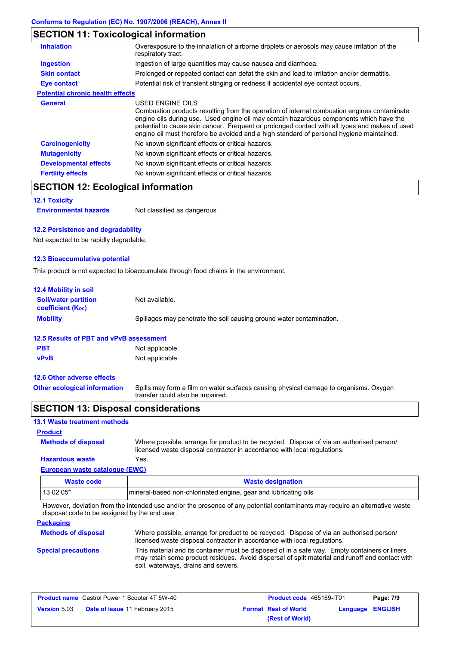## **SECTION 11: Toxicological information**

| <b>Inhalation</b>                       | Overexposure to the inhalation of airborne droplets or aerosols may cause irritation of the<br>respiratory tract.                                                                                                                                                                                                                                                                                        |
|-----------------------------------------|----------------------------------------------------------------------------------------------------------------------------------------------------------------------------------------------------------------------------------------------------------------------------------------------------------------------------------------------------------------------------------------------------------|
| <b>Ingestion</b>                        | Ingestion of large quantities may cause nausea and diarrhoea.                                                                                                                                                                                                                                                                                                                                            |
| <b>Skin contact</b>                     | Prolonged or repeated contact can defat the skin and lead to irritation and/or dermatitis.                                                                                                                                                                                                                                                                                                               |
| Eye contact                             | Potential risk of transient stinging or redness if accidental eye contact occurs.                                                                                                                                                                                                                                                                                                                        |
| <b>Potential chronic health effects</b> |                                                                                                                                                                                                                                                                                                                                                                                                          |
| General                                 | USED ENGINE OILS<br>Combustion products resulting from the operation of internal combustion engines contaminate<br>engine oils during use. Used engine oil may contain hazardous components which have the<br>potential to cause skin cancer. Frequent or prolonged contact with all types and makes of used<br>engine oil must therefore be avoided and a high standard of personal hygiene maintained. |
| <b>Carcinogenicity</b>                  | No known significant effects or critical hazards.                                                                                                                                                                                                                                                                                                                                                        |
| <b>Mutagenicity</b>                     | No known significant effects or critical hazards.                                                                                                                                                                                                                                                                                                                                                        |
| <b>Developmental effects</b>            | No known significant effects or critical hazards.                                                                                                                                                                                                                                                                                                                                                        |
| <b>Fertility effects</b>                | No known significant effects or critical hazards.                                                                                                                                                                                                                                                                                                                                                        |

## **SECTION 12: Ecological information**

**12.1 Toxicity**

**Environmental hazards** Not classified as dangerous

#### **12.2 Persistence and degradability**

Not expected to be rapidly degradable.

#### **12.3 Bioaccumulative potential**

This product is not expected to bioaccumulate through food chains in the environment.

| <b>12.4 Mobility in soil</b>                                  |                                                                      |
|---------------------------------------------------------------|----------------------------------------------------------------------|
| <b>Soil/water partition</b><br>coefficient (K <sub>oc</sub> ) | Not available.                                                       |
| <b>Mobility</b>                                               | Spillages may penetrate the soil causing ground water contamination. |

### **12.5 Results of PBT and vPvB assessment**

| <b>PBT</b>  | Not applicable. |
|-------------|-----------------|
| <b>vPvB</b> | Not applicable. |

#### **12.6 Other adverse effects**

Spills may form a film on water surfaces causing physical damage to organisms. Oxygen transfer could also be impaired. **Other ecological information**

### **SECTION 13: Disposal considerations**

| <b>13.1 Waste treatment methods</b> |                                                                                                                                                                      |
|-------------------------------------|----------------------------------------------------------------------------------------------------------------------------------------------------------------------|
| <b>Product</b>                      |                                                                                                                                                                      |
| <b>Methods of disposal</b>          | Where possible, arrange for product to be recycled. Dispose of via an authorised person/<br>licensed waste disposal contractor in accordance with local regulations. |
| <b>Hazardous waste</b>              | Yes.                                                                                                                                                                 |
| European waste catalogue (EWC)      |                                                                                                                                                                      |
| <b>Waste code</b>                   | <b>Waste designation</b>                                                                                                                                             |
| 13 02 05*                           | mineral-based non-chlorinated engine, gear and lubricating oils                                                                                                      |

However, deviation from the intended use and/or the presence of any potential contaminants may require an alternative waste disposal code to be assigned by the end user.

| <b>Packaging</b>           |                                                                                                                                                                                                                                         |
|----------------------------|-----------------------------------------------------------------------------------------------------------------------------------------------------------------------------------------------------------------------------------------|
| <b>Methods of disposal</b> | Where possible, arrange for product to be recycled. Dispose of via an authorised person/<br>licensed waste disposal contractor in accordance with local regulations.                                                                    |
| <b>Special precautions</b> | This material and its container must be disposed of in a safe way. Empty containers or liners<br>may retain some product residues. Avoid dispersal of spilt material and runoff and contact with<br>soil, waterways, drains and sewers. |

|                     | <b>Product name</b> Castrol Power 1 Scooter 4T 5W-40 | Product code 465169-IT01    |                         | Page: 7/9 |
|---------------------|------------------------------------------------------|-----------------------------|-------------------------|-----------|
| <b>Version 5.03</b> | <b>Date of issue 11 February 2015</b>                | <b>Format Rest of World</b> | <b>Language ENGLISH</b> |           |
|                     |                                                      | (Rest of World)             |                         |           |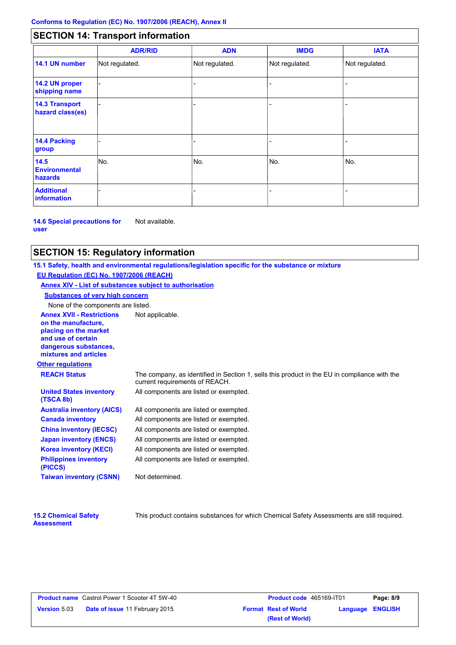## **SECTION 14: Transport information**

|                                           | <b>ADR/RID</b> | <b>ADN</b>     | <b>IMDG</b>    | <b>IATA</b>    |
|-------------------------------------------|----------------|----------------|----------------|----------------|
| 14.1 UN number                            | Not regulated. | Not regulated. | Not regulated. | Not regulated. |
| 14.2 UN proper<br>shipping name           |                |                |                |                |
| <b>14.3 Transport</b><br>hazard class(es) |                |                |                |                |
| <b>14.4 Packing</b><br>group              |                |                |                |                |
| 14.5<br><b>Environmental</b><br>hazards   | No.            | No.            | No.            | No.            |
| <b>Additional</b><br><b>information</b>   |                |                |                |                |

**14.6 Special precautions for user** Not available.

### **SECTION 15: Regulatory information**

**Other regulations Annex XVII - Restrictions** Not applicable. **on the manufacture, placing on the market and use of certain dangerous substances, mixtures and articles REACH Status** The company, as identified in Section 1, sells this product in the EU in compliance with the current requirements of REACH. **15.1 Safety, health and environmental regulations/legislation specific for the substance or mixture EU Regulation (EC) No. 1907/2006 (REACH) Annex XIV - List of substances subject to authorisation Substances of very high concern** None of the components are listed. All components are listed or exempted. All components are listed or exempted. All components are listed or exempted. All components are listed or exempted. All components are listed or exempted. All components are listed or exempted. All components are listed or exempted. **United States inventory (TSCA 8b) Australia inventory (AICS) Canada inventory China inventory (IECSC) Japan inventory (ENCS) Korea inventory (KECI) Philippines inventory (PICCS) Taiwan inventory (CSNN)** Not determined.

| <b>15.2 Chemical Safety</b> |  |
|-----------------------------|--|
| <b>Assessment</b>           |  |

This product contains substances for which Chemical Safety Assessments are still required.